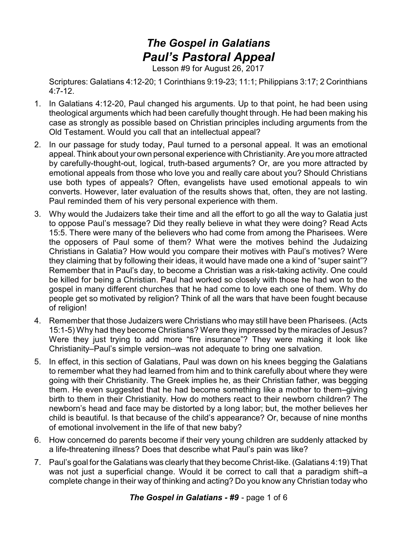## *The Gospel in Galatians Paul's Pastoral Appeal*

Lesson #9 for August 26, 2017

Scriptures: Galatians 4:12-20; 1 Corinthians 9:19-23; 11:1; Philippians 3:17; 2 Corinthians 4:7-12.

- 1. In Galatians 4:12-20, Paul changed his arguments. Up to that point, he had been using theological arguments which had been carefully thought through. He had been making his case as strongly as possible based on Christian principles including arguments from the Old Testament. Would you call that an intellectual appeal?
- 2. In our passage for study today, Paul turned to a personal appeal. It was an emotional appeal.Think about your own personal experience with Christianity. Are you more attracted by carefully-thought-out, logical, truth-based arguments? Or, are you more attracted by emotional appeals from those who love you and really care about you? Should Christians use both types of appeals? Often, evangelists have used emotional appeals to win converts. However, later evaluation of the results shows that, often, they are not lasting. Paul reminded them of his very personal experience with them.
- 3. Why would the Judaizers take their time and all the effort to go all the way to Galatia just to oppose Paul's message? Did they really believe in what they were doing? Read Acts 15:5. There were many of the believers who had come from among the Pharisees. Were the opposers of Paul some of them? What were the motives behind the Judaizing Christians in Galatia? How would you compare their motives with Paul's motives? Were they claiming that by following their ideas, it would have made one a kind of "super saint"? Remember that in Paul's day, to become a Christian was a risk-taking activity. One could be killed for being a Christian. Paul had worked so closely with those he had won to the gospel in many different churches that he had come to love each one of them. Why do people get so motivated by religion? Think of all the wars that have been fought because of religion!
- 4. Remember that those Judaizers were Christians who may still have been Pharisees. (Acts 15:1-5) Why had they become Christians? Were they impressed by the miracles of Jesus? Were they just trying to add more "fire insurance"? They were making it look like Christianity–Paul's simple version–was not adequate to bring one salvation.
- 5. In effect, in this section of Galatians, Paul was down on his knees begging the Galatians to remember what they had learned from him and to think carefully about where they were going with their Christianity. The Greek implies he, as their Christian father, was begging them. He even suggested that he had become something like a mother to them–giving birth to them in their Christianity. How do mothers react to their newborn children? The newborn's head and face may be distorted by a long labor; but, the mother believes her child is beautiful. Is that because of the child's appearance? Or, because of nine months of emotional involvement in the life of that new baby?
- 6. How concerned do parents become if their very young children are suddenly attacked by a life-threatening illness? Does that describe what Paul's pain was like?
- 7. Paul's goal for the Galatians was clearly that they become Christ-like. (Galatians 4:19) That was not just a superficial change. Would it be correct to call that a paradigm shift–a complete change in their way of thinking and acting? Do you know any Christian today who

*The Gospel in Galatians - #9* - page 1 of 6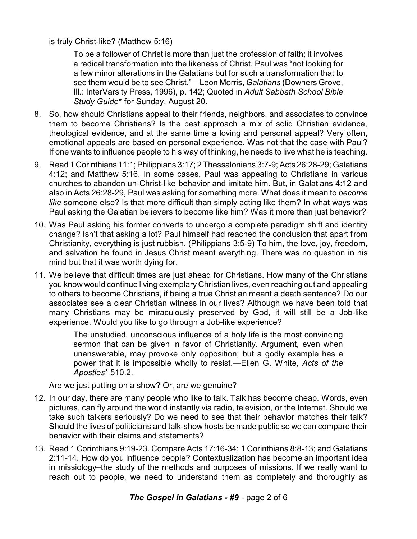is truly Christ-like? (Matthew 5:16)

To be a follower of Christ is more than just the profession of faith; it involves a radical transformation into the likeness of Christ. Paul was "not looking for a few minor alterations in the Galatians but for such a transformation that to see them would be to see Christ."—Leon Morris, *Galatians* (Downers Grove, Ill.: InterVarsity Press, 1996), p. 142; Quoted in *Adult Sabbath School Bible Study Guide*\* for Sunday, August 20.

- 8. So, how should Christians appeal to their friends, neighbors, and associates to convince them to become Christians? Is the best approach a mix of solid Christian evidence, theological evidence, and at the same time a loving and personal appeal? Very often, emotional appeals are based on personal experience. Was not that the case with Paul? If one wants to influence people to his way of thinking, he needs to live what he is teaching.
- 9. Read 1 Corinthians 11:1;Philippians 3:17; 2 Thessalonians 3:7-9; Acts 26:28-29; Galatians 4:12; and Matthew 5:16. In some cases, Paul was appealing to Christians in various churches to abandon un-Christ-like behavior and imitate him. But, in Galatians 4:12 and also in Acts 26:28-29, Paul was asking for something more. What does it mean to *become like* someone else? Is that more difficult than simply acting like them? In what ways was Paul asking the Galatian believers to become like him? Was it more than just behavior?
- 10. Was Paul asking his former converts to undergo a complete paradigm shift and identity change? Isn't that asking a lot? Paul himself had reached the conclusion that apart from Christianity, everything is just rubbish. (Philippians 3:5-9) To him, the love, joy, freedom, and salvation he found in Jesus Christ meant everything. There was no question in his mind but that it was worth dying for.
- 11. We believe that difficult times are just ahead for Christians. How many of the Christians you know would continue living exemplary Christian lives, even reaching out and appealing to others to become Christians, if being a true Christian meant a death sentence? Do our associates see a clear Christian witness in our lives? Although we have been told that many Christians may be miraculously preserved by God, it will still be a Job-like experience. Would you like to go through a Job-like experience?

The unstudied, unconscious influence of a holy life is the most convincing sermon that can be given in favor of Christianity. Argument, even when unanswerable, may provoke only opposition; but a godly example has a power that it is impossible wholly to resist.—Ellen G. White, *Acts of the Apostles*\* 510.2.

Are we just putting on a show? Or, are we genuine?

- 12. In our day, there are many people who like to talk. Talk has become cheap. Words, even pictures, can fly around the world instantly via radio, television, or the Internet. Should we take such talkers seriously? Do we need to see that their behavior matches their talk? Should the lives of politicians and talk-show hosts be made public so we can compare their behavior with their claims and statements?
- 13. Read 1 Corinthians 9:19-23. Compare Acts 17:16-34; 1 Corinthians 8:8-13; and Galatians 2:11-14. How do you influence people? Contextualization has become an important idea in missiology–the study of the methods and purposes of missions. If we really want to reach out to people, we need to understand them as completely and thoroughly as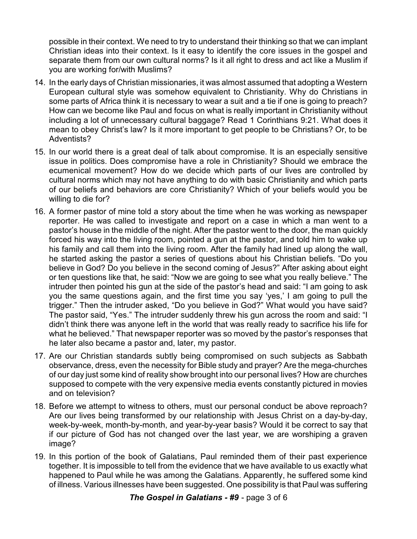possible in their context. We need to try to understand their thinking so that we can implant Christian ideas into their context. Is it easy to identify the core issues in the gospel and separate them from our own cultural norms? Is it all right to dress and act like a Muslim if you are working for/with Muslims?

- 14. In the early days of Christian missionaries, it was almost assumed that adopting a Western European cultural style was somehow equivalent to Christianity. Why do Christians in some parts of Africa think it is necessary to wear a suit and a tie if one is going to preach? How can we become like Paul and focus on what is really important in Christianity without including a lot of unnecessary cultural baggage? Read 1 Corinthians 9:21. What does it mean to obey Christ's law? Is it more important to get people to be Christians? Or, to be Adventists?
- 15. In our world there is a great deal of talk about compromise. It is an especially sensitive issue in politics. Does compromise have a role in Christianity? Should we embrace the ecumenical movement? How do we decide which parts of our lives are controlled by cultural norms which may not have anything to do with basic Christianity and which parts of our beliefs and behaviors are core Christianity? Which of your beliefs would you be willing to die for?
- 16. A former pastor of mine told a story about the time when he was working as newspaper reporter. He was called to investigate and report on a case in which a man went to a pastor's house in the middle of the night. After the pastor went to the door, the man quickly forced his way into the living room, pointed a gun at the pastor, and told him to wake up his family and call them into the living room. After the family had lined up along the wall, he started asking the pastor a series of questions about his Christian beliefs. "Do you believe in God? Do you believe in the second coming of Jesus?" After asking about eight or ten questions like that, he said: "Now we are going to see what you really believe." The intruder then pointed his gun at the side of the pastor's head and said: "I am going to ask you the same questions again, and the first time you say 'yes,' I am going to pull the trigger." Then the intruder asked, "Do you believe in God?" What would you have said? The pastor said, "Yes." The intruder suddenly threw his gun across the room and said: "I didn't think there was anyone left in the world that was really ready to sacrifice his life for what he believed." That newspaper reporter was so moved by the pastor's responses that he later also became a pastor and, later, my pastor.
- 17. Are our Christian standards subtly being compromised on such subjects as Sabbath observance, dress, even the necessity for Bible study and prayer? Are the mega-churches of our day just some kind of reality show brought into our personal lives? How are churches supposed to compete with the very expensive media events constantly pictured in movies and on television?
- 18. Before we attempt to witness to others, must our personal conduct be above reproach? Are our lives being transformed by our relationship with Jesus Christ on a day-by-day, week-by-week, month-by-month, and year-by-year basis? Would it be correct to say that if our picture of God has not changed over the last year, we are worshiping a graven image?
- 19. In this portion of the book of Galatians, Paul reminded them of their past experience together. It is impossible to tell from the evidence that we have available to us exactly what happened to Paul while he was among the Galatians. Apparently, he suffered some kind of illness. Various illnesses have been suggested. One possibility is that Paul was suffering

*The Gospel in Galatians - #9* - page 3 of 6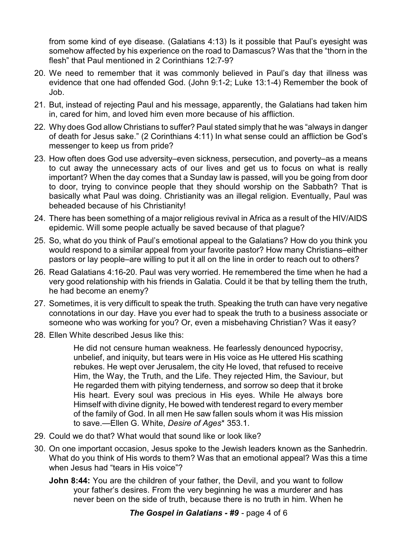from some kind of eye disease. (Galatians 4:13) Is it possible that Paul's eyesight was somehow affected by his experience on the road to Damascus? Was that the "thorn in the flesh" that Paul mentioned in 2 Corinthians 12:7-9?

- 20. We need to remember that it was commonly believed in Paul's day that illness was evidence that one had offended God. (John 9:1-2; Luke 13:1-4) Remember the book of Job.
- 21. But, instead of rejecting Paul and his message, apparently, the Galatians had taken him in, cared for him, and loved him even more because of his affliction.
- 22. Why does God allow Christians to suffer? Paul stated simply that he was "always in danger of death for Jesus sake." (2 Corinthians 4:11) In what sense could an affliction be God's messenger to keep us from pride?
- 23. How often does God use adversity–even sickness, persecution, and poverty–as a means to cut away the unnecessary acts of our lives and get us to focus on what is really important? When the day comes that a Sunday law is passed, will you be going from door to door, trying to convince people that they should worship on the Sabbath? That is basically what Paul was doing. Christianity was an illegal religion. Eventually, Paul was beheaded because of his Christianity!
- 24. There has been something of a major religious revival in Africa as a result of the HIV/AIDS epidemic. Will some people actually be saved because of that plague?
- 25. So, what do you think of Paul's emotional appeal to the Galatians? How do you think you would respond to a similar appeal from your favorite pastor? How many Christians–either pastors or lay people–are willing to put it all on the line in order to reach out to others?
- 26. Read Galatians 4:16-20. Paul was very worried. He remembered the time when he had a very good relationship with his friends in Galatia. Could it be that by telling them the truth, he had become an enemy?
- 27. Sometimes, it is very difficult to speak the truth. Speaking the truth can have very negative connotations in our day. Have you ever had to speak the truth to a business associate or someone who was working for you? Or, even a misbehaving Christian? Was it easy?
- 28. Ellen White described Jesus like this:

He did not censure human weakness. He fearlessly denounced hypocrisy, unbelief, and iniquity, but tears were in His voice as He uttered His scathing rebukes. He wept over Jerusalem, the city He loved, that refused to receive Him, the Way, the Truth, and the Life. They rejected Him, the Saviour, but He regarded them with pitying tenderness, and sorrow so deep that it broke His heart. Every soul was precious in His eyes. While He always bore Himself with divine dignity, He bowed with tenderest regard to every member of the family of God. In all men He saw fallen souls whom it was His mission to save.—Ellen G. White, *Desire of Ages*\* 353.1.

- 29. Could we do that? What would that sound like or look like?
- 30. On one important occasion, Jesus spoke to the Jewish leaders known as the Sanhedrin. What do you think of His words to them? Was that an emotional appeal? Was this a time when Jesus had "tears in His voice"?
	- **John 8:44:** You are the children of your father, the Devil, and you want to follow your father's desires. From the very beginning he was a murderer and has never been on the side of truth, because there is no truth in him. When he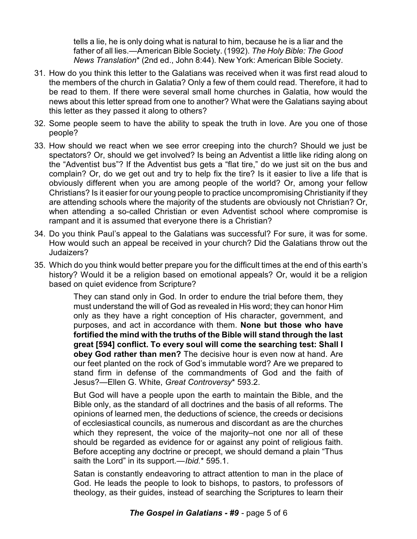tells a lie, he is only doing what is natural to him, because he is a liar and the father of all lies.—American Bible Society. (1992). *The Holy Bible: The Good News Translation*\* (2nd ed., John 8:44). New York: American Bible Society.

- 31. How do you think this letter to the Galatians was received when it was first read aloud to the members of the church in Galatia? Only a few of them could read. Therefore, it had to be read to them. If there were several small home churches in Galatia, how would the news about this letter spread from one to another? What were the Galatians saying about this letter as they passed it along to others?
- 32. Some people seem to have the ability to speak the truth in love. Are you one of those people?
- 33. How should we react when we see error creeping into the church? Should we just be spectators? Or, should we get involved? Is being an Adventist a little like riding along on the "Adventist bus"? If the Adventist bus gets a "flat tire," do we just sit on the bus and complain? Or, do we get out and try to help fix the tire? Is it easier to live a life that is obviously different when you are among people of the world? Or, among your fellow Christians? Is it easier for our young people to practice uncompromising Christianity if they are attending schools where the majority of the students are obviously not Christian? Or, when attending a so-called Christian or even Adventist school where compromise is rampant and it is assumed that everyone there is a Christian?
- 34. Do you think Paul's appeal to the Galatians was successful? For sure, it was for some. How would such an appeal be received in your church? Did the Galatians throw out the Judaizers?
- 35. Which do you think would better prepare you for the difficult times at the end of this earth's history? Would it be a religion based on emotional appeals? Or, would it be a religion based on quiet evidence from Scripture?

They can stand only in God. In order to endure the trial before them, they must understand the will of God as revealed in His word; they can honor Him only as they have a right conception of His character, government, and purposes, and act in accordance with them. **None but those who have fortified the mind with the truths of the Bible will stand through the last great [594] conflict. To every soul will come the searching test: Shall I obey God rather than men?** The decisive hour is even now at hand. Are our feet planted on the rock of God's immutable word? Are we prepared to stand firm in defense of the commandments of God and the faith of Jesus?—Ellen G. White, *Great Controversy*\* 593.2.

But God will have a people upon the earth to maintain the Bible, and the Bible only, as the standard of all doctrines and the basis of all reforms. The opinions of learned men, the deductions of science, the creeds or decisions of ecclesiastical councils, as numerous and discordant as are the churches which they represent, the voice of the majority–not one nor all of these should be regarded as evidence for or against any point of religious faith. Before accepting any doctrine or precept, we should demand a plain "Thus saith the Lord" in its support.—*Ibid.*\* 595.1.

Satan is constantly endeavoring to attract attention to man in the place of God. He leads the people to look to bishops, to pastors, to professors of theology, as their guides, instead of searching the Scriptures to learn their